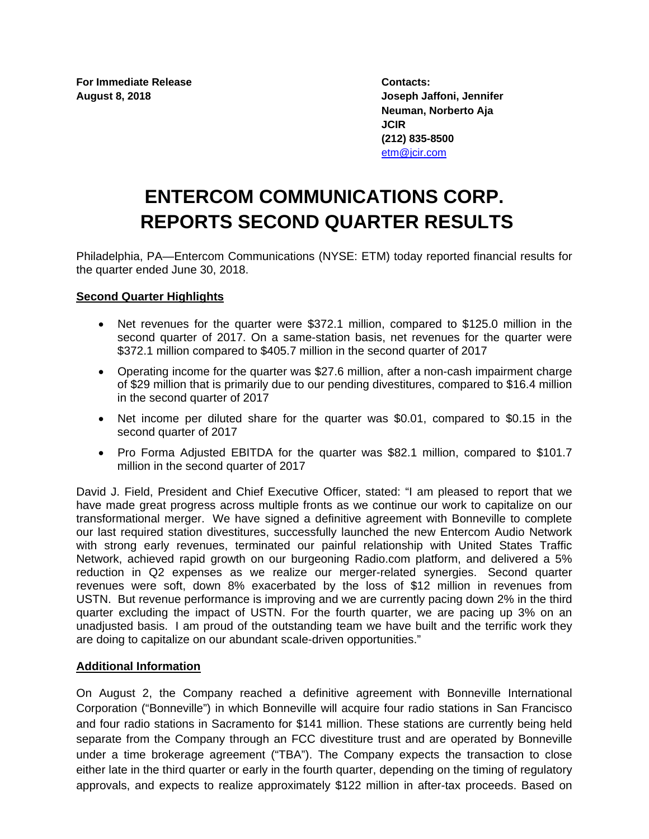**For Immediate Release Contacts:** 

**August 8, 2018 Joseph Jaffoni, Jennifer Neuman, Norberto Aja**  *<u> JCIR JCIR*</u> **(212) 835-8500**  etm@jcir.com

# **ENTERCOM COMMUNICATIONS CORP. REPORTS SECOND QUARTER RESULTS**

Philadelphia, PA—Entercom Communications (NYSE: ETM) today reported financial results for the quarter ended June 30, 2018.

# **Second Quarter Highlights**

- Net revenues for the quarter were \$372.1 million, compared to \$125.0 million in the second quarter of 2017. On a same-station basis, net revenues for the quarter were \$372.1 million compared to \$405.7 million in the second quarter of 2017
- Operating income for the quarter was \$27.6 million, after a non-cash impairment charge of \$29 million that is primarily due to our pending divestitures, compared to \$16.4 million in the second quarter of 2017
- Net income per diluted share for the quarter was \$0.01, compared to \$0.15 in the second quarter of 2017
- Pro Forma Adjusted EBITDA for the quarter was \$82.1 million, compared to \$101.7 million in the second quarter of 2017

David J. Field, President and Chief Executive Officer, stated: "I am pleased to report that we have made great progress across multiple fronts as we continue our work to capitalize on our transformational merger. We have signed a definitive agreement with Bonneville to complete our last required station divestitures, successfully launched the new Entercom Audio Network with strong early revenues, terminated our painful relationship with United States Traffic Network, achieved rapid growth on our burgeoning Radio.com platform, and delivered a 5% reduction in Q2 expenses as we realize our merger-related synergies. Second quarter revenues were soft, down 8% exacerbated by the loss of \$12 million in revenues from USTN. But revenue performance is improving and we are currently pacing down 2% in the third quarter excluding the impact of USTN. For the fourth quarter, we are pacing up 3% on an unadjusted basis. I am proud of the outstanding team we have built and the terrific work they are doing to capitalize on our abundant scale-driven opportunities."

#### **Additional Information**

On August 2, the Company reached a definitive agreement with Bonneville International Corporation ("Bonneville") in which Bonneville will acquire four radio stations in San Francisco and four radio stations in Sacramento for \$141 million. These stations are currently being held separate from the Company through an FCC divestiture trust and are operated by Bonneville under a time brokerage agreement ("TBA"). The Company expects the transaction to close either late in the third quarter or early in the fourth quarter, depending on the timing of regulatory approvals, and expects to realize approximately \$122 million in after-tax proceeds. Based on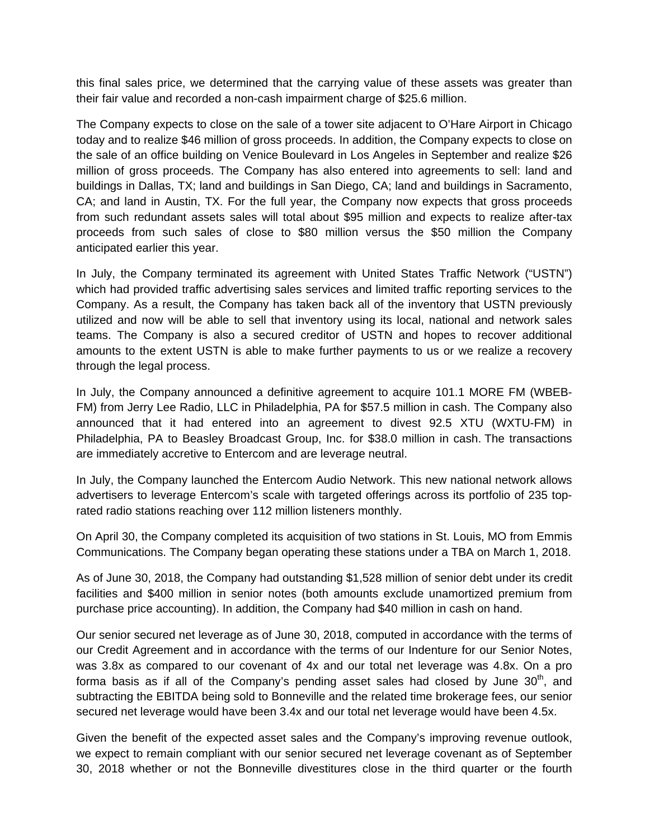this final sales price, we determined that the carrying value of these assets was greater than their fair value and recorded a non-cash impairment charge of \$25.6 million.

The Company expects to close on the sale of a tower site adjacent to O'Hare Airport in Chicago today and to realize \$46 million of gross proceeds. In addition, the Company expects to close on the sale of an office building on Venice Boulevard in Los Angeles in September and realize \$26 million of gross proceeds. The Company has also entered into agreements to sell: land and buildings in Dallas, TX; land and buildings in San Diego, CA; land and buildings in Sacramento, CA; and land in Austin, TX. For the full year, the Company now expects that gross proceeds from such redundant assets sales will total about \$95 million and expects to realize after-tax proceeds from such sales of close to \$80 million versus the \$50 million the Company anticipated earlier this year.

In July, the Company terminated its agreement with United States Traffic Network ("USTN") which had provided traffic advertising sales services and limited traffic reporting services to the Company. As a result, the Company has taken back all of the inventory that USTN previously utilized and now will be able to sell that inventory using its local, national and network sales teams. The Company is also a secured creditor of USTN and hopes to recover additional amounts to the extent USTN is able to make further payments to us or we realize a recovery through the legal process.

In July, the Company announced a definitive agreement to acquire 101.1 MORE FM (WBEB-FM) from Jerry Lee Radio, LLC in Philadelphia, PA for \$57.5 million in cash. The Company also announced that it had entered into an agreement to divest 92.5 XTU (WXTU-FM) in Philadelphia, PA to Beasley Broadcast Group, Inc. for \$38.0 million in cash. The transactions are immediately accretive to Entercom and are leverage neutral.

In July, the Company launched the Entercom Audio Network. This new national network allows advertisers to leverage Entercom's scale with targeted offerings across its portfolio of 235 toprated radio stations reaching over 112 million listeners monthly.

On April 30, the Company completed its acquisition of two stations in St. Louis, MO from Emmis Communications. The Company began operating these stations under a TBA on March 1, 2018.

As of June 30, 2018, the Company had outstanding \$1,528 million of senior debt under its credit facilities and \$400 million in senior notes (both amounts exclude unamortized premium from purchase price accounting). In addition, the Company had \$40 million in cash on hand.

Our senior secured net leverage as of June 30, 2018, computed in accordance with the terms of our Credit Agreement and in accordance with the terms of our Indenture for our Senior Notes, was 3.8x as compared to our covenant of 4x and our total net leverage was 4.8x. On a pro forma basis as if all of the Company's pending asset sales had closed by June  $30<sup>th</sup>$ , and subtracting the EBITDA being sold to Bonneville and the related time brokerage fees, our senior secured net leverage would have been 3.4x and our total net leverage would have been 4.5x.

Given the benefit of the expected asset sales and the Company's improving revenue outlook, we expect to remain compliant with our senior secured net leverage covenant as of September 30, 2018 whether or not the Bonneville divestitures close in the third quarter or the fourth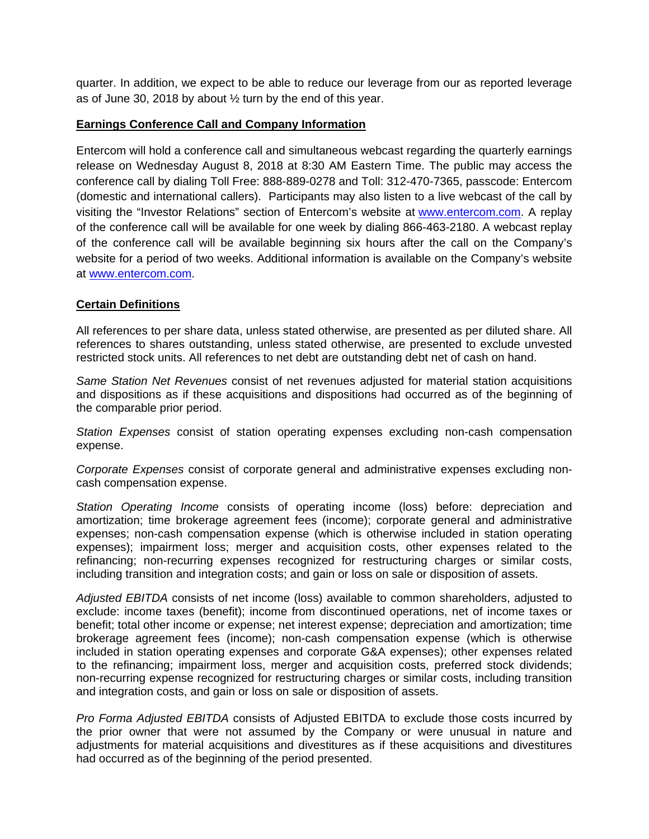quarter. In addition, we expect to be able to reduce our leverage from our as reported leverage as of June 30, 2018 by about ½ turn by the end of this year.

# **Earnings Conference Call and Company Information**

Entercom will hold a conference call and simultaneous webcast regarding the quarterly earnings release on Wednesday August 8, 2018 at 8:30 AM Eastern Time. The public may access the conference call by dialing Toll Free: 888-889-0278 and Toll: 312-470-7365, passcode: Entercom (domestic and international callers). Participants may also listen to a live webcast of the call by visiting the "Investor Relations" section of Entercom's website at www.entercom.com. A replay of the conference call will be available for one week by dialing 866-463-2180. A webcast replay of the conference call will be available beginning six hours after the call on the Company's website for a period of two weeks. Additional information is available on the Company's website at www.entercom.com.

# **Certain Definitions**

All references to per share data, unless stated otherwise, are presented as per diluted share. All references to shares outstanding, unless stated otherwise, are presented to exclude unvested restricted stock units. All references to net debt are outstanding debt net of cash on hand.

*Same Station Net Revenues* consist of net revenues adjusted for material station acquisitions and dispositions as if these acquisitions and dispositions had occurred as of the beginning of the comparable prior period.

*Station Expenses* consist of station operating expenses excluding non-cash compensation expense.

*Corporate Expenses* consist of corporate general and administrative expenses excluding noncash compensation expense.

*Station Operating Income* consists of operating income (loss) before: depreciation and amortization; time brokerage agreement fees (income); corporate general and administrative expenses; non-cash compensation expense (which is otherwise included in station operating expenses); impairment loss; merger and acquisition costs, other expenses related to the refinancing; non-recurring expenses recognized for restructuring charges or similar costs, including transition and integration costs; and gain or loss on sale or disposition of assets.

*Adjusted EBITDA* consists of net income (loss) available to common shareholders, adjusted to exclude: income taxes (benefit); income from discontinued operations, net of income taxes or benefit; total other income or expense; net interest expense; depreciation and amortization; time brokerage agreement fees (income); non-cash compensation expense (which is otherwise included in station operating expenses and corporate G&A expenses); other expenses related to the refinancing; impairment loss, merger and acquisition costs, preferred stock dividends; non-recurring expense recognized for restructuring charges or similar costs, including transition and integration costs, and gain or loss on sale or disposition of assets.

*Pro Forma Adjusted EBITDA* consists of Adjusted EBITDA to exclude those costs incurred by the prior owner that were not assumed by the Company or were unusual in nature and adjustments for material acquisitions and divestitures as if these acquisitions and divestitures had occurred as of the beginning of the period presented.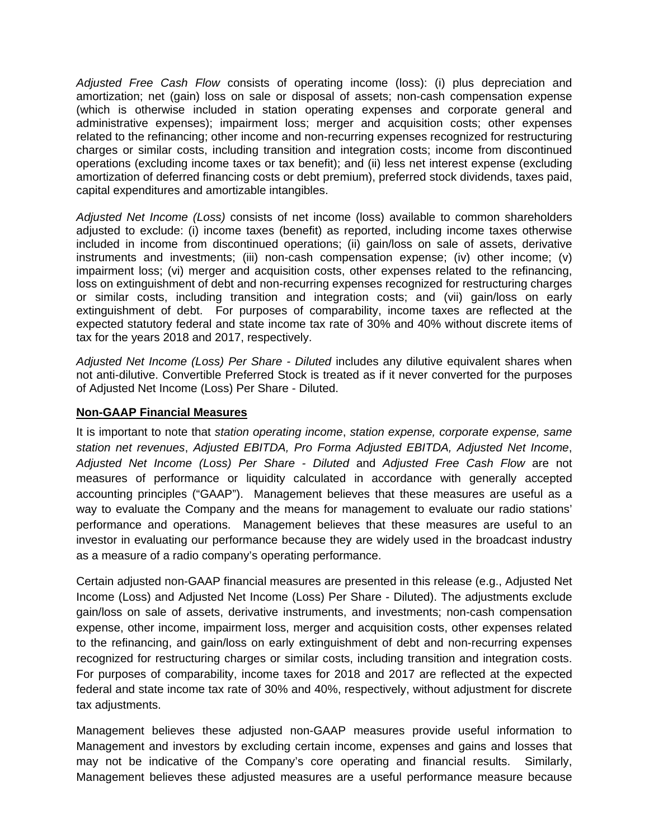*Adjusted Free Cash Flow* consists of operating income (loss): (i) plus depreciation and amortization; net (gain) loss on sale or disposal of assets; non-cash compensation expense (which is otherwise included in station operating expenses and corporate general and administrative expenses); impairment loss; merger and acquisition costs; other expenses related to the refinancing; other income and non-recurring expenses recognized for restructuring charges or similar costs, including transition and integration costs; income from discontinued operations (excluding income taxes or tax benefit); and (ii) less net interest expense (excluding amortization of deferred financing costs or debt premium), preferred stock dividends, taxes paid, capital expenditures and amortizable intangibles.

*Adjusted Net Income (Loss)* consists of net income (loss) available to common shareholders adjusted to exclude: (i) income taxes (benefit) as reported, including income taxes otherwise included in income from discontinued operations; (ii) gain/loss on sale of assets, derivative instruments and investments; (iii) non-cash compensation expense; (iv) other income; (v) impairment loss; (vi) merger and acquisition costs, other expenses related to the refinancing, loss on extinguishment of debt and non-recurring expenses recognized for restructuring charges or similar costs, including transition and integration costs; and (vii) gain/loss on early extinguishment of debt. For purposes of comparability, income taxes are reflected at the expected statutory federal and state income tax rate of 30% and 40% without discrete items of tax for the years 2018 and 2017, respectively.

*Adjusted Net Income (Loss) Per Share - Diluted* includes any dilutive equivalent shares when not anti-dilutive. Convertible Preferred Stock is treated as if it never converted for the purposes of Adjusted Net Income (Loss) Per Share - Diluted.

### **Non-GAAP Financial Measures**

It is important to note that *station operating income*, *station expense, corporate expense, same station net revenues*, *Adjusted EBITDA, Pro Forma Adjusted EBITDA, Adjusted Net Income*, *Adjusted Net Income (Loss) Per Share - Diluted* and *Adjusted Free Cash Flow* are not measures of performance or liquidity calculated in accordance with generally accepted accounting principles ("GAAP"). Management believes that these measures are useful as a way to evaluate the Company and the means for management to evaluate our radio stations' performance and operations. Management believes that these measures are useful to an investor in evaluating our performance because they are widely used in the broadcast industry as a measure of a radio company's operating performance.

Certain adjusted non-GAAP financial measures are presented in this release (e.g., Adjusted Net Income (Loss) and Adjusted Net Income (Loss) Per Share - Diluted). The adjustments exclude gain/loss on sale of assets, derivative instruments, and investments; non-cash compensation expense, other income, impairment loss, merger and acquisition costs, other expenses related to the refinancing, and gain/loss on early extinguishment of debt and non-recurring expenses recognized for restructuring charges or similar costs, including transition and integration costs. For purposes of comparability, income taxes for 2018 and 2017 are reflected at the expected federal and state income tax rate of 30% and 40%, respectively, without adjustment for discrete tax adjustments.

Management believes these adjusted non-GAAP measures provide useful information to Management and investors by excluding certain income, expenses and gains and losses that may not be indicative of the Company's core operating and financial results. Similarly, Management believes these adjusted measures are a useful performance measure because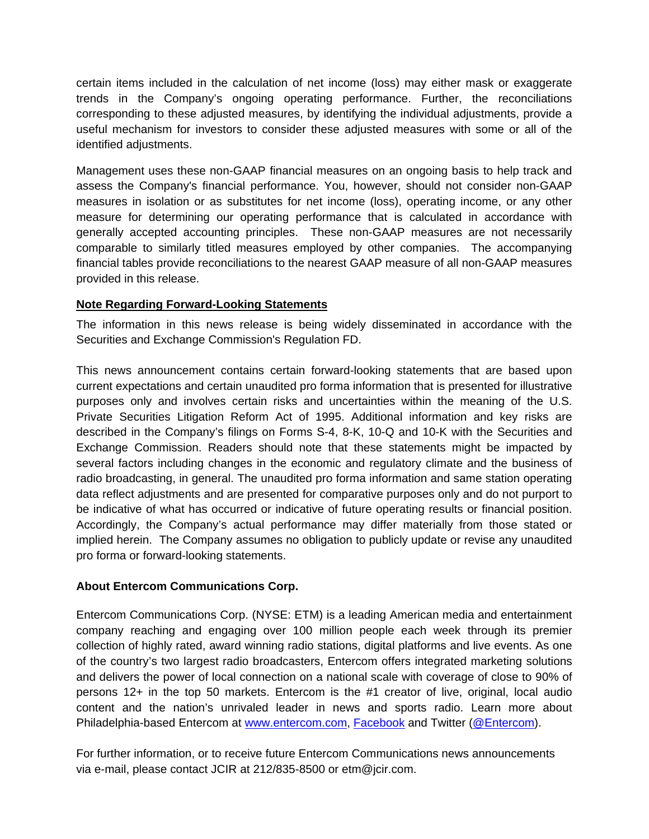certain items included in the calculation of net income (loss) may either mask or exaggerate trends in the Company's ongoing operating performance. Further, the reconciliations corresponding to these adjusted measures, by identifying the individual adjustments, provide a useful mechanism for investors to consider these adjusted measures with some or all of the identified adjustments.

Management uses these non-GAAP financial measures on an ongoing basis to help track and assess the Company's financial performance. You, however, should not consider non-GAAP measures in isolation or as substitutes for net income (loss), operating income, or any other measure for determining our operating performance that is calculated in accordance with generally accepted accounting principles. These non-GAAP measures are not necessarily comparable to similarly titled measures employed by other companies. The accompanying financial tables provide reconciliations to the nearest GAAP measure of all non-GAAP measures provided in this release.

# **Note Regarding Forward-Looking Statements**

The information in this news release is being widely disseminated in accordance with the Securities and Exchange Commission's Regulation FD.

This news announcement contains certain forward-looking statements that are based upon current expectations and certain unaudited pro forma information that is presented for illustrative purposes only and involves certain risks and uncertainties within the meaning of the U.S. Private Securities Litigation Reform Act of 1995. Additional information and key risks are described in the Company's filings on Forms S-4, 8-K, 10-Q and 10-K with the Securities and Exchange Commission. Readers should note that these statements might be impacted by several factors including changes in the economic and regulatory climate and the business of radio broadcasting, in general. The unaudited pro forma information and same station operating data reflect adjustments and are presented for comparative purposes only and do not purport to be indicative of what has occurred or indicative of future operating results or financial position. Accordingly, the Company's actual performance may differ materially from those stated or implied herein. The Company assumes no obligation to publicly update or revise any unaudited pro forma or forward-looking statements.

# **About Entercom Communications Corp.**

Entercom Communications Corp. (NYSE: ETM) is a leading American media and entertainment company reaching and engaging over 100 million people each week through its premier collection of highly rated, award winning radio stations, digital platforms and live events. As one of the country's two largest radio broadcasters, Entercom offers integrated marketing solutions and delivers the power of local connection on a national scale with coverage of close to 90% of persons 12+ in the top 50 markets. Entercom is the #1 creator of live, original, local audio content and the nation's unrivaled leader in news and sports radio. Learn more about Philadelphia-based Entercom at www.entercom.com, Facebook and Twitter (@Entercom).

For further information, or to receive future Entercom Communications news announcements via e-mail, please contact JCIR at 212/835-8500 or etm@jcir.com.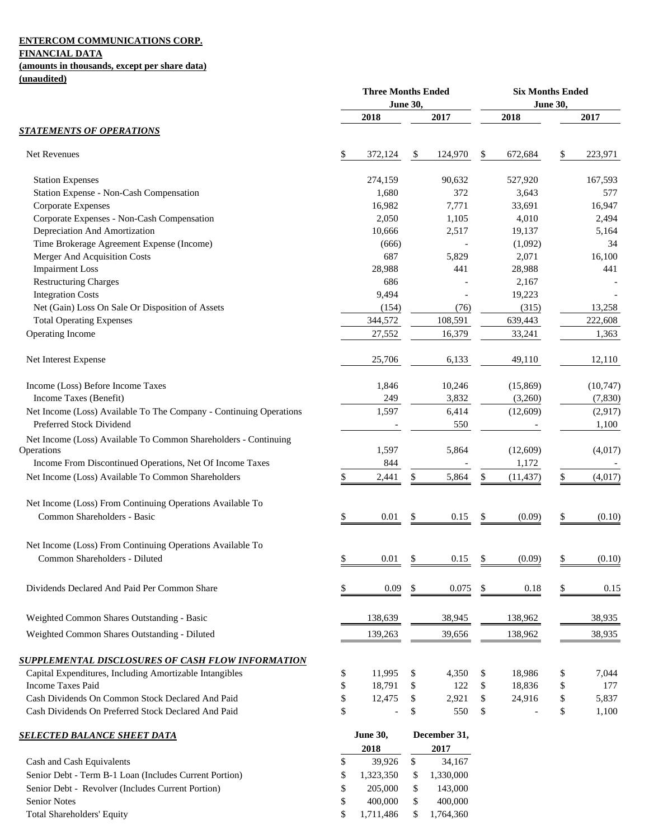#### **ENTERCOM COMMUNICATIONS CORP.**

**FINANCIAL DATA** 

#### **(amounts in thousands, except per share data)**

**(unaudited)** 

|                                                                    | <b>Three Months Ended</b><br>June 30, |                         |    |                      |    | <b>Six Months Ended</b><br><b>June 30,</b> |    |           |  |  |
|--------------------------------------------------------------------|---------------------------------------|-------------------------|----|----------------------|----|--------------------------------------------|----|-----------|--|--|
|                                                                    |                                       | 2018                    |    | 2017                 |    | 2018                                       |    | 2017      |  |  |
| <b>STATEMENTS OF OPERATIONS</b>                                    |                                       |                         |    |                      |    |                                            |    |           |  |  |
| Net Revenues                                                       | \$                                    | 372,124                 | \$ | 124,970              | \$ | 672,684                                    | \$ | 223,971   |  |  |
| <b>Station Expenses</b>                                            |                                       | 274,159                 |    | 90,632               |    | 527,920                                    |    | 167,593   |  |  |
| Station Expense - Non-Cash Compensation                            |                                       | 1,680                   |    | 372                  |    | 3,643                                      |    | 577       |  |  |
| Corporate Expenses                                                 |                                       | 16,982                  |    | 7,771                |    | 33,691                                     |    | 16,947    |  |  |
| Corporate Expenses - Non-Cash Compensation                         |                                       | 2,050                   |    | 1,105                |    | 4,010                                      |    | 2,494     |  |  |
| Depreciation And Amortization                                      |                                       | 10,666                  |    | 2,517                |    | 19,137                                     |    | 5,164     |  |  |
| Time Brokerage Agreement Expense (Income)                          |                                       | (666)                   |    |                      |    | (1,092)                                    |    | 34        |  |  |
| Merger And Acquisition Costs                                       |                                       | 687                     |    | 5,829                |    | 2,071                                      |    | 16,100    |  |  |
| <b>Impairment Loss</b>                                             |                                       | 28,988                  |    | 441                  |    | 28,988                                     |    | 441       |  |  |
| <b>Restructuring Charges</b>                                       |                                       | 686                     |    |                      |    | 2,167                                      |    |           |  |  |
| <b>Integration Costs</b>                                           |                                       | 9,494                   |    |                      |    | 19,223                                     |    |           |  |  |
| Net (Gain) Loss On Sale Or Disposition of Assets                   |                                       | (154)                   |    | (76)                 |    | (315)                                      |    | 13,258    |  |  |
| <b>Total Operating Expenses</b>                                    |                                       | 344,572                 |    | 108,591              |    | 639,443                                    |    | 222,608   |  |  |
| Operating Income                                                   |                                       | 27,552                  |    | 16,379               |    | 33,241                                     |    | 1,363     |  |  |
|                                                                    |                                       |                         |    |                      |    |                                            |    |           |  |  |
| Net Interest Expense                                               |                                       | 25,706                  |    | 6,133                |    | 49,110                                     |    | 12,110    |  |  |
| Income (Loss) Before Income Taxes                                  |                                       | 1,846                   |    | 10,246               |    | (15, 869)                                  |    | (10, 747) |  |  |
| Income Taxes (Benefit)                                             |                                       | 249                     |    | 3,832                |    | (3,260)                                    |    | (7, 830)  |  |  |
| Net Income (Loss) Available To The Company - Continuing Operations |                                       | 1,597                   |    | 6,414                |    | (12,609)                                   |    | (2,917)   |  |  |
| Preferred Stock Dividend                                           |                                       |                         |    | 550                  |    |                                            |    | 1,100     |  |  |
| Net Income (Loss) Available To Common Shareholders - Continuing    |                                       |                         |    |                      |    |                                            |    |           |  |  |
| Operations                                                         |                                       | 1,597                   |    | 5,864                |    | (12,609)                                   |    | (4,017)   |  |  |
| Income From Discontinued Operations, Net Of Income Taxes           |                                       | 844                     |    |                      |    | 1,172                                      |    |           |  |  |
| Net Income (Loss) Available To Common Shareholders                 | \$                                    | 2,441                   | \$ | 5,864                | \$ | (11, 437)                                  | \$ | (4,017)   |  |  |
| Net Income (Loss) From Continuing Operations Available To          |                                       |                         |    |                      |    |                                            |    |           |  |  |
| Common Shareholders - Basic                                        | \$                                    | 0.01                    | \$ | 0.15                 | \$ | (0.09)                                     | \$ | (0.10)    |  |  |
| Net Income (Loss) From Continuing Operations Available To          |                                       |                         |    |                      |    |                                            |    |           |  |  |
| Common Shareholders - Diluted                                      | J                                     | $0.01\,$                |    | 0.15                 |    | (0.09)                                     | \$ | (0.10)    |  |  |
| Dividends Declared And Paid Per Common Share                       | \$                                    | 0.09                    | \$ | 0.075                | \$ | 0.18                                       | \$ | 0.15      |  |  |
| Weighted Common Shares Outstanding - Basic                         |                                       | 138,639                 |    | 38,945               |    | 138,962                                    |    | 38,935    |  |  |
| Weighted Common Shares Outstanding - Diluted                       |                                       | 139,263                 |    | 39,656               |    | 138,962                                    |    | 38,935    |  |  |
| <b>SUPPLEMENTAL DISCLOSURES OF CASH FLOW INFORMATION</b>           |                                       |                         |    |                      |    |                                            |    |           |  |  |
| Capital Expenditures, Including Amortizable Intangibles            | \$                                    | 11,995                  | \$ | 4,350                | \$ | 18,986                                     | \$ | 7,044     |  |  |
| <b>Income Taxes Paid</b>                                           | \$                                    | 18,791                  | \$ | 122                  | \$ | 18,836                                     | \$ | 177       |  |  |
| Cash Dividends On Common Stock Declared And Paid                   | \$                                    | 12,475                  | \$ | 2,921                | \$ | 24,916                                     | \$ | 5,837     |  |  |
| Cash Dividends On Preferred Stock Declared And Paid                | \$                                    |                         | \$ | 550                  | \$ |                                            | \$ | 1,100     |  |  |
| <u>SELECTED BALANCE SHEET DATA</u>                                 |                                       | <b>June 30,</b><br>2018 |    | December 31,<br>2017 |    |                                            |    |           |  |  |
|                                                                    | \$                                    | 39,926                  | \$ | 34,167               |    |                                            |    |           |  |  |
| Cash and Cash Equivalents                                          |                                       |                         |    |                      |    |                                            |    |           |  |  |
| Senior Debt - Term B-1 Loan (Includes Current Portion)             | \$                                    | 1,323,350               | \$ | 1,330,000            |    |                                            |    |           |  |  |
| Senior Debt - Revolver (Includes Current Portion)                  | \$                                    | 205,000                 | \$ | 143,000              |    |                                            |    |           |  |  |
| Senior Notes                                                       | \$                                    | 400,000                 | \$ | 400,000              |    |                                            |    |           |  |  |
| Total Shareholders' Equity                                         | \$                                    | 1,711,486               | \$ | 1,764,360            |    |                                            |    |           |  |  |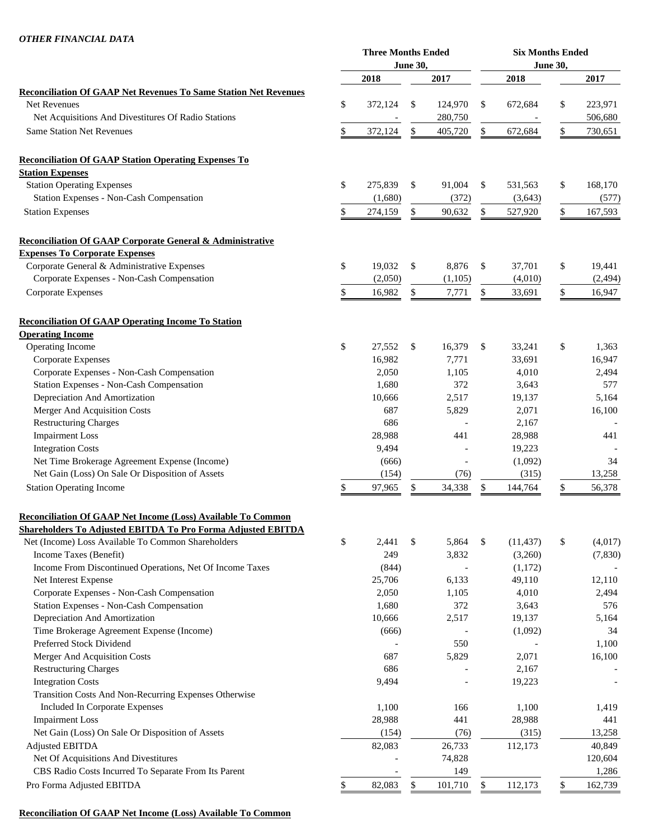#### *OTHER FINANCIAL DATA*

|                                                                         | <b>Three Months Ended</b><br><b>June 30,</b> |    | <b>Six Months Ended</b><br><b>June 30,</b> |    |           |    |          |
|-------------------------------------------------------------------------|----------------------------------------------|----|--------------------------------------------|----|-----------|----|----------|
|                                                                         | 2018                                         |    | 2017                                       |    | 2018      |    | 2017     |
| <b>Reconciliation Of GAAP Net Revenues To Same Station Net Revenues</b> |                                              |    |                                            |    |           |    |          |
| <b>Net Revenues</b>                                                     | \$<br>372,124                                | \$ | 124,970                                    | \$ | 672,684   | \$ | 223,971  |
| Net Acquisitions And Divestitures Of Radio Stations                     |                                              |    | 280,750                                    |    |           |    | 506,680  |
| <b>Same Station Net Revenues</b>                                        | \$<br>372,124                                | \$ | 405,720                                    | \$ | 672,684   | \$ | 730,651  |
|                                                                         |                                              |    |                                            |    |           |    |          |
| <b>Reconciliation Of GAAP Station Operating Expenses To</b>             |                                              |    |                                            |    |           |    |          |
| <b>Station Expenses</b>                                                 |                                              |    |                                            |    |           |    |          |
| <b>Station Operating Expenses</b>                                       | \$<br>275,839                                | \$ | 91,004                                     | \$ | 531,563   | \$ | 168,170  |
| Station Expenses - Non-Cash Compensation                                | (1,680)                                      |    | (372)                                      |    | (3,643)   |    | (577)    |
| <b>Station Expenses</b>                                                 | \$<br>274,159                                | \$ | 90,632                                     | \$ | 527,920   | \$ | 167,593  |
| <b>Reconciliation Of GAAP Corporate General &amp; Administrative</b>    |                                              |    |                                            |    |           |    |          |
| <b>Expenses To Corporate Expenses</b>                                   |                                              |    |                                            |    |           |    |          |
| Corporate General & Administrative Expenses                             | \$<br>19,032                                 | \$ | 8,876                                      | \$ | 37,701    | \$ | 19,441   |
| Corporate Expenses - Non-Cash Compensation                              | (2,050)                                      |    | (1,105)                                    |    | (4,010)   |    | (2, 494) |
| Corporate Expenses                                                      | \$<br>16,982                                 | \$ | 7,771                                      | \$ | 33,691    | \$ | 16,947   |
|                                                                         |                                              |    |                                            |    |           |    |          |
| <b>Reconciliation Of GAAP Operating Income To Station</b>               |                                              |    |                                            |    |           |    |          |
| <b>Operating Income</b>                                                 |                                              |    |                                            |    |           |    |          |
| Operating Income                                                        | \$<br>27,552                                 | \$ | 16,379                                     | \$ | 33,241    | \$ | 1,363    |
| Corporate Expenses                                                      | 16,982                                       |    | 7,771                                      |    | 33,691    |    | 16,947   |
| Corporate Expenses - Non-Cash Compensation                              | 2,050                                        |    | 1,105                                      |    | 4,010     |    | 2,494    |
| Station Expenses - Non-Cash Compensation                                | 1,680                                        |    | 372                                        |    | 3,643     |    | 577      |
| Depreciation And Amortization                                           | 10,666                                       |    | 2,517                                      |    | 19,137    |    | 5,164    |
| Merger And Acquisition Costs                                            | 687                                          |    | 5,829                                      |    | 2,071     |    | 16,100   |
| <b>Restructuring Charges</b>                                            | 686                                          |    |                                            |    | 2,167     |    |          |
| <b>Impairment Loss</b>                                                  | 28,988                                       |    | 441                                        |    | 28,988    |    | 441      |
| <b>Integration Costs</b>                                                | 9,494                                        |    |                                            |    | 19,223    |    |          |
| Net Time Brokerage Agreement Expense (Income)                           | (666)                                        |    |                                            |    | (1,092)   |    | 34       |
| Net Gain (Loss) On Sale Or Disposition of Assets                        | (154)                                        |    | (76)                                       |    | (315)     |    | 13,258   |
| <b>Station Operating Income</b>                                         | \$<br>97,965                                 | \$ | 34,338                                     | \$ | 144,764   | \$ | 56,378   |
| Reconciliation Of GAAP Net Income (Loss) Available To Common            |                                              |    |                                            |    |           |    |          |
| Shareholders To Adjusted EBITDA To Pro Forma Adjusted EBITDA            |                                              |    |                                            |    |           |    |          |
| Net (Income) Loss Available To Common Shareholders                      | \$<br>2,441                                  | \$ | 5,864                                      | \$ | (11, 437) | \$ | (4,017)  |
| Income Taxes (Benefit)                                                  | 249                                          |    | 3,832                                      |    | (3,260)   |    | (7, 830) |
| Income From Discontinued Operations, Net Of Income Taxes                | (844)                                        |    |                                            |    | (1,172)   |    |          |
| Net Interest Expense                                                    | 25,706                                       |    | 6,133                                      |    | 49,110    |    | 12,110   |
| Corporate Expenses - Non-Cash Compensation                              | 2,050                                        |    | 1,105                                      |    | 4,010     |    | 2,494    |
| <b>Station Expenses - Non-Cash Compensation</b>                         | 1,680                                        |    | 372                                        |    | 3,643     |    | 576      |
| Depreciation And Amortization                                           | 10,666                                       |    | 2,517                                      |    | 19,137    |    | 5,164    |
| Time Brokerage Agreement Expense (Income)                               | (666)                                        |    |                                            |    | (1,092)   |    | 34       |
| Preferred Stock Dividend                                                |                                              |    | 550                                        |    |           |    | 1,100    |
| Merger And Acquisition Costs                                            | 687                                          |    | 5,829                                      |    | 2,071     |    | 16,100   |
| <b>Restructuring Charges</b>                                            | 686                                          |    |                                            |    | 2,167     |    |          |
| <b>Integration Costs</b>                                                | 9,494                                        |    |                                            |    | 19,223    |    |          |
| Transition Costs And Non-Recurring Expenses Otherwise                   |                                              |    |                                            |    |           |    |          |
| Included In Corporate Expenses                                          | 1,100                                        |    | 166                                        |    | 1,100     |    | 1,419    |
| <b>Impairment Loss</b>                                                  | 28,988                                       |    | 441                                        |    | 28,988    |    | 441      |
| Net Gain (Loss) On Sale Or Disposition of Assets                        | (154)                                        |    | (76)                                       |    | (315)     |    | 13,258   |
| <b>Adjusted EBITDA</b>                                                  | 82,083                                       |    | 26,733                                     |    | 112,173   |    | 40,849   |
| Net Of Acquisitions And Divestitures                                    |                                              |    | 74,828                                     |    |           |    | 120,604  |
|                                                                         |                                              |    |                                            |    |           |    | 1,286    |
| CBS Radio Costs Incurred To Separate From Its Parent                    |                                              |    | 149                                        |    |           |    |          |
| Pro Forma Adjusted EBITDA                                               | \$<br>82,083                                 | \$ | 101,710                                    |    | 112,173   | \$ | 162,739  |

#### **Reconciliation Of GAAP Net Income (Loss) Available To Common**